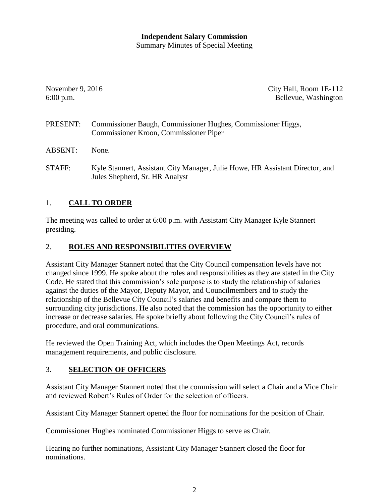#### **Independent Salary Commission** Summary Minutes of Special Meeting

November 9, 2016 City Hall, Room 1E-112 6:00 p.m. Bellevue, Washington

- PRESENT: Commissioner Baugh, Commissioner Hughes, Commissioner Higgs, Commissioner Kroon, Commissioner Piper
- ABSENT: None.
- STAFF: Kyle Stannert, Assistant City Manager, Julie Howe, HR Assistant Director, and Jules Shepherd, Sr. HR Analyst

## 1. **CALL TO ORDER**

The meeting was called to order at 6:00 p.m. with Assistant City Manager Kyle Stannert presiding.

## 2. **ROLES AND RESPONSIBILITIES OVERVIEW**

Assistant City Manager Stannert noted that the City Council compensation levels have not changed since 1999. He spoke about the roles and responsibilities as they are stated in the City Code. He stated that this commission's sole purpose is to study the relationship of salaries against the duties of the Mayor, Deputy Mayor, and Councilmembers and to study the relationship of the Bellevue City Council's salaries and benefits and compare them to surrounding city jurisdictions. He also noted that the commission has the opportunity to either increase or decrease salaries. He spoke briefly about following the City Council's rules of procedure, and oral communications.

He reviewed the Open Training Act, which includes the Open Meetings Act, records management requirements, and public disclosure.

### 3. **SELECTION OF OFFICERS**

Assistant City Manager Stannert noted that the commission will select a Chair and a Vice Chair and reviewed Robert's Rules of Order for the selection of officers.

Assistant City Manager Stannert opened the floor for nominations for the position of Chair.

Commissioner Hughes nominated Commissioner Higgs to serve as Chair.

Hearing no further nominations, Assistant City Manager Stannert closed the floor for nominations.